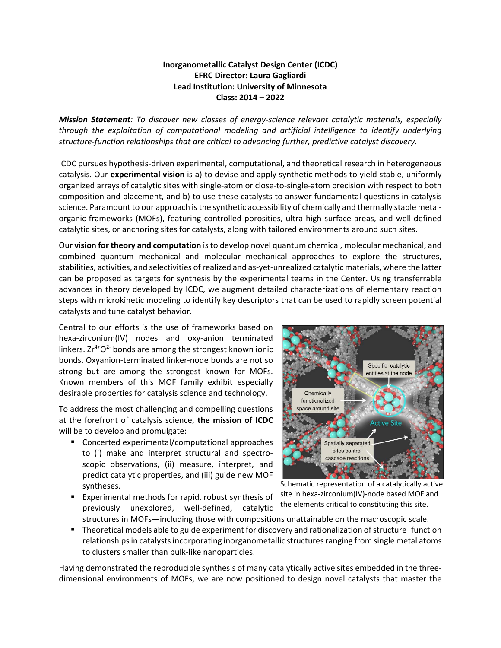## **Inorganometallic Catalyst Design Center (ICDC) EFRC Director: Laura Gagliardi Lead Institution: University of Minnesota Class: 2014 – 2022**

*Mission Statement: To discover new classes of energy-science relevant catalytic materials, especially through the exploitation of computational modeling and artificial intelligence to identify underlying structure-function relationships that are critical to advancing further, predictive catalyst discovery.*

ICDC pursues hypothesis-driven experimental, computational, and theoretical research in heterogeneous catalysis. Our **experimental vision** is a) to devise and apply synthetic methods to yield stable, uniformly organized arrays of catalytic sites with single-atom or close-to-single-atom precision with respect to both composition and placement, and b) to use these catalysts to answer fundamental questions in catalysis science. Paramount to our approach is the synthetic accessibility of chemically and thermally stable metalorganic frameworks (MOFs), featuring controlled porosities, ultra-high surface areas, and well-defined catalytic sites, or anchoring sites for catalysts, along with tailored environments around such sites.

Our **vision for theory and computation** is to develop novel quantum chemical, molecular mechanical, and combined quantum mechanical and molecular mechanical approaches to explore the structures, stabilities, activities, and selectivities of realized and as-yet-unrealized catalytic materials, where the latter can be proposed as targets for synthesis by the experimental teams in the Center. Using transferrable advances in theory developed by ICDC, we augment detailed characterizations of elementary reaction steps with microkinetic modeling to identify key descriptors that can be used to rapidly screen potential catalysts and tune catalyst behavior.

Central to our efforts is the use of frameworks based on hexa-zirconium(IV) nodes and oxy-anion terminated linkers.  $Zr^{4+}O^2$  bonds are among the strongest known ionic bonds. Oxyanion-terminated linker-node bonds are not so strong but are among the strongest known for MOFs. Known members of this MOF family exhibit especially desirable properties for catalysis science and technology.

To address the most challenging and compelling questions at the forefront of catalysis science, **the mission of ICDC** will be to develop and promulgate:

- Concerted experimental/computational approaches to (i) make and interpret structural and spectroscopic observations, (ii) measure, interpret, and predict catalytic properties, and (iii) guide new MOF syntheses.
- Experimental methods for rapid, robust synthesis of previously unexplored, well-defined, catalytic structures in MOFs—including those with compositions unattainable on the macroscopic scale.



Schematic representation of a catalytically active site in hexa-zirconium(IV)-node based MOF and the elements critical to constituting this site.

■ Theoretical models able to guide experiment for discovery and rationalization of structure–function relationships in catalysts incorporating inorganometallic structures ranging from single metal atoms to clusters smaller than bulk-like nanoparticles.

Having demonstrated the reproducible synthesis of many catalytically active sites embedded in the threedimensional environments of MOFs, we are now positioned to design novel catalysts that master the